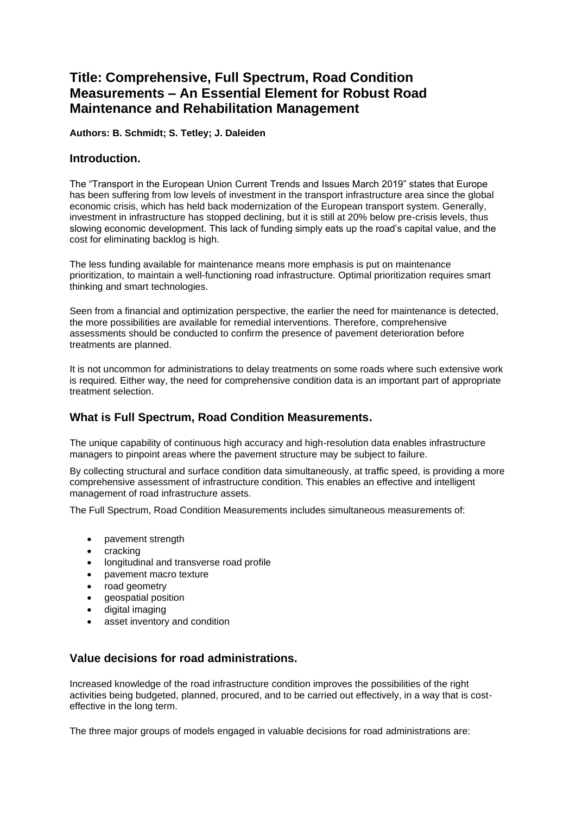# **Title: Comprehensive, Full Spectrum, Road Condition Measurements – An Essential Element for Robust Road Maintenance and Rehabilitation Management**

**Authors: B. Schmidt; S. Tetley; J. Daleiden** 

### **Introduction.**

The "Transport in the European Union Current Trends and Issues March 2019" states that Europe has been suffering from low levels of investment in the transport infrastructure area since the global economic crisis, which has held back modernization of the European transport system. Generally, investment in infrastructure has stopped declining, but it is still at 20% below pre-crisis levels, thus slowing economic development. This lack of funding simply eats up the road's capital value, and the cost for eliminating backlog is high.

The less funding available for maintenance means more emphasis is put on maintenance prioritization, to maintain a well-functioning road infrastructure. Optimal prioritization requires smart thinking and smart technologies.

Seen from a financial and optimization perspective, the earlier the need for maintenance is detected, the more possibilities are available for remedial interventions. Therefore, comprehensive assessments should be conducted to confirm the presence of pavement deterioration before treatments are planned.

It is not uncommon for administrations to delay treatments on some roads where such extensive work is required. Either way, the need for comprehensive condition data is an important part of appropriate treatment selection.

## **What is Full Spectrum, Road Condition Measurements.**

The unique capability of continuous high accuracy and high-resolution data enables infrastructure managers to pinpoint areas where the pavement structure may be subject to failure.

By collecting structural and surface condition data simultaneously, at traffic speed, is providing a more comprehensive assessment of infrastructure condition. This enables an effective and intelligent management of road infrastructure assets.

The Full Spectrum, Road Condition Measurements includes simultaneous measurements of:

- pavement strength
- cracking
- longitudinal and transverse road profile
- pavement macro texture
- road geometry
- geospatial position
- digital imaging
- asset inventory and condition

## **Value decisions for road administrations.**

Increased knowledge of the road infrastructure condition improves the possibilities of the right activities being budgeted, planned, procured, and to be carried out effectively, in a way that is costeffective in the long term.

The three major groups of models engaged in valuable decisions for road administrations are: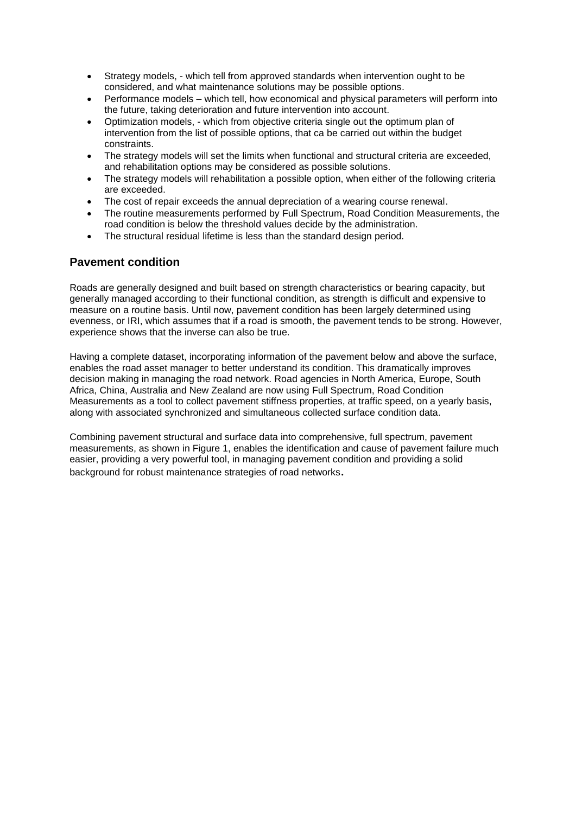- Strategy models, which tell from approved standards when intervention ought to be considered, and what maintenance solutions may be possible options.
- Performance models which tell, how economical and physical parameters will perform into the future, taking deterioration and future intervention into account.
- Optimization models, which from objective criteria single out the optimum plan of intervention from the list of possible options, that ca be carried out within the budget constraints.
- The strategy models will set the limits when functional and structural criteria are exceeded, and rehabilitation options may be considered as possible solutions.
- The strategy models will rehabilitation a possible option, when either of the following criteria are exceeded.
- The cost of repair exceeds the annual depreciation of a wearing course renewal.
- The routine measurements performed by Full Spectrum, Road Condition Measurements, the road condition is below the threshold values decide by the administration.
- The structural residual lifetime is less than the standard design period.

## **Pavement condition**

Roads are generally designed and built based on strength characteristics or bearing capacity, but generally managed according to their functional condition, as strength is difficult and expensive to measure on a routine basis. Until now, pavement condition has been largely determined using evenness, or IRI, which assumes that if a road is smooth, the pavement tends to be strong. However, experience shows that the inverse can also be true.

Having a complete dataset, incorporating information of the pavement below and above the surface, enables the road asset manager to better understand its condition. This dramatically improves decision making in managing the road network. Road agencies in North America, Europe, South Africa, China, Australia and New Zealand are now using Full Spectrum, Road Condition Measurements as a tool to collect pavement stiffness properties, at traffic speed, on a yearly basis, along with associated synchronized and simultaneous collected surface condition data.

Combining pavement structural and surface data into comprehensive, full spectrum, pavement measurements, as shown in Figure 1, enables the identification and cause of pavement failure much easier, providing a very powerful tool, in managing pavement condition and providing a solid background for robust maintenance strategies of road networks.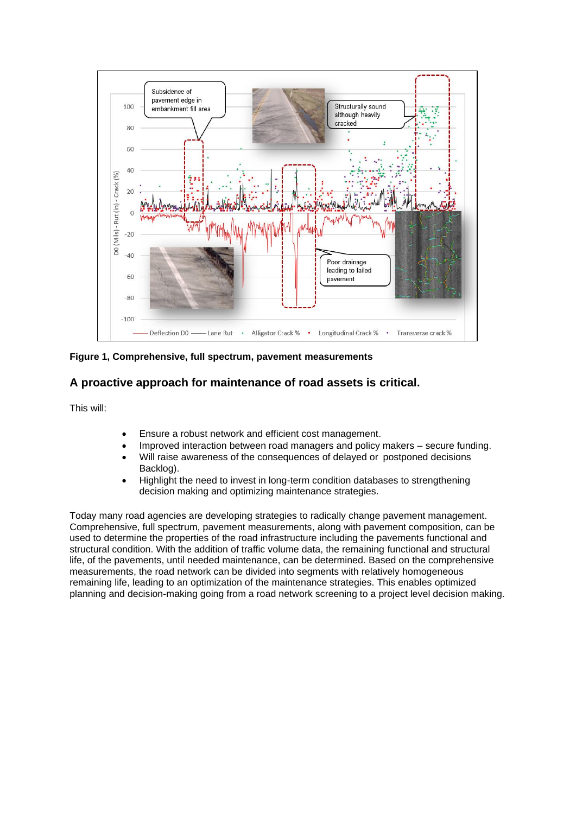

**Figure 1, Comprehensive, full spectrum, pavement measurements**

## **A proactive approach for maintenance of road assets is critical.**

This will:

- Ensure a robust network and efficient cost management.
- Improved interaction between road managers and policy makers secure funding.
- Will raise awareness of the consequences of delayed or postponed decisions Backlog).
- Highlight the need to invest in long-term condition databases to strengthening decision making and optimizing maintenance strategies.

Today many road agencies are developing strategies to radically change pavement management. Comprehensive, full spectrum, pavement measurements, along with pavement composition, can be used to determine the properties of the road infrastructure including the pavements functional and structural condition. With the addition of traffic volume data, the remaining functional and structural life, of the pavements, until needed maintenance, can be determined. Based on the comprehensive measurements, the road network can be divided into segments with relatively homogeneous remaining life, leading to an optimization of the maintenance strategies. This enables optimized planning and decision-making going from a road network screening to a project level decision making.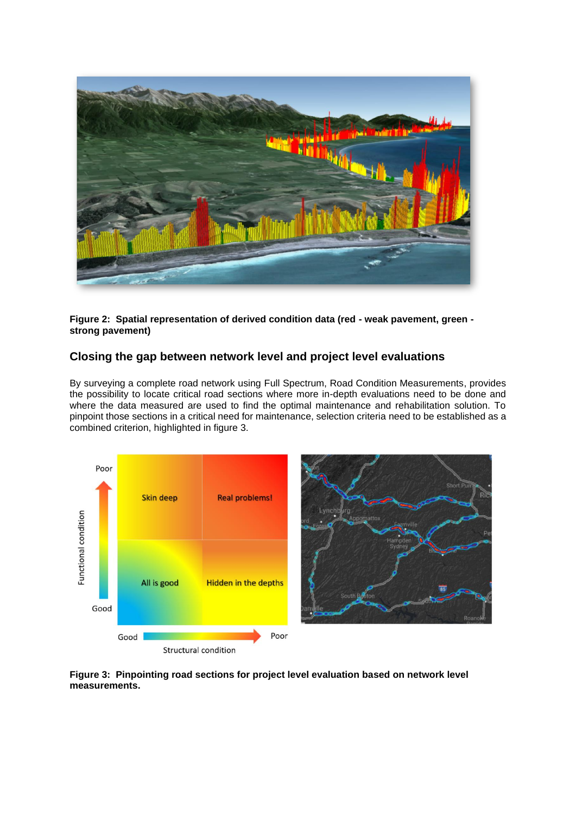

**Figure 2: Spatial representation of derived condition data (red - weak pavement, green strong pavement)** 

## **Closing the gap between network level and project level evaluations**

By surveying a complete road network using Full Spectrum, Road Condition Measurements, provides the possibility to locate critical road sections where more in-depth evaluations need to be done and where the data measured are used to find the optimal maintenance and rehabilitation solution. To pinpoint those sections in a critical need for maintenance, selection criteria need to be established as a combined criterion, highlighted in figure 3.





**Figure 3: Pinpointing road sections for project level evaluation based on network level measurements.**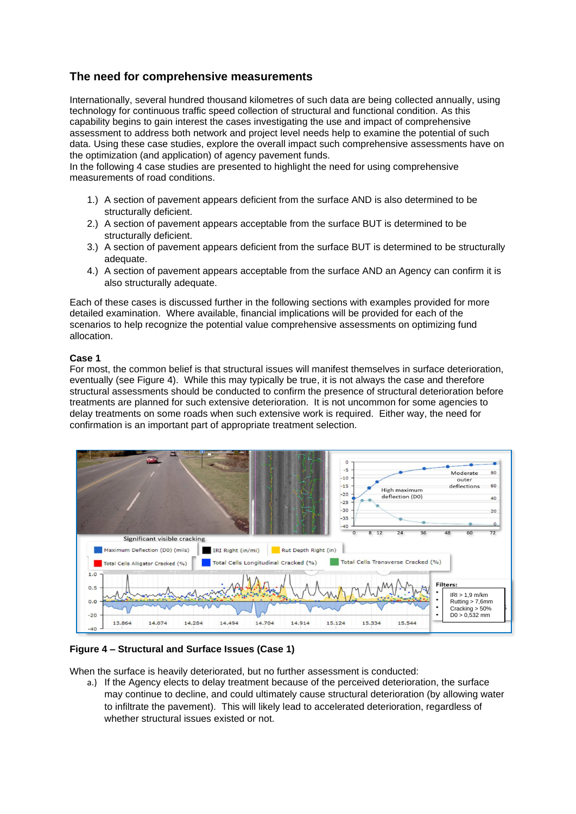## **The need for comprehensive measurements**

Internationally, several hundred thousand kilometres of such data are being collected annually, using technology for continuous traffic speed collection of structural and functional condition. As this capability begins to gain interest the cases investigating the use and impact of comprehensive assessment to address both network and project level needs help to examine the potential of such data. Using these case studies, explore the overall impact such comprehensive assessments have on the optimization (and application) of agency pavement funds.

In the following 4 case studies are presented to highlight the need for using comprehensive measurements of road conditions.

- 1.) A section of pavement appears deficient from the surface AND is also determined to be structurally deficient.
- 2.) A section of pavement appears acceptable from the surface BUT is determined to be structurally deficient.
- 3.) A section of pavement appears deficient from the surface BUT is determined to be structurally adequate.
- 4.) A section of pavement appears acceptable from the surface AND an Agency can confirm it is also structurally adequate.

Each of these cases is discussed further in the following sections with examples provided for more detailed examination. Where available, financial implications will be provided for each of the scenarios to help recognize the potential value comprehensive assessments on optimizing fund allocation.

### **Case 1**

For most, the common belief is that structural issues will manifest themselves in surface deterioration, eventually (see Figure 4). While this may typically be true, it is not always the case and therefore structural assessments should be conducted to confirm the presence of structural deterioration before treatments are planned for such extensive deterioration. It is not uncommon for some agencies to delay treatments on some roads when such extensive work is required. Either way, the need for confirmation is an important part of appropriate treatment selection.



**Figure 4 – Structural and Surface Issues (Case 1)**

When the surface is heavily deteriorated, but no further assessment is conducted:

a.) If the Agency elects to delay treatment because of the perceived deterioration, the surface may continue to decline, and could ultimately cause structural deterioration (by allowing water to infiltrate the pavement). This will likely lead to accelerated deterioration, regardless of whether structural issues existed or not.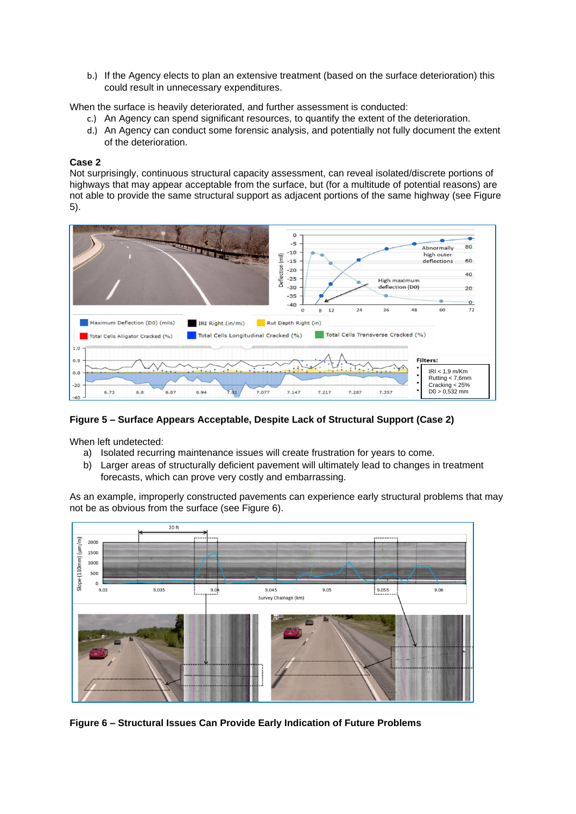b.) If the Agency elects to plan an extensive treatment (based on the surface deterioration) this could result in unnecessary expenditures.

When the surface is heavily deteriorated, and further assessment is conducted:

- c.) An Agency can spend significant resources, to quantify the extent of the deterioration.
- d.) An Agency can conduct some forensic analysis, and potentially not fully document the extent of the deterioration.

#### **Case 2**

Not surprisingly, continuous structural capacity assessment, can reveal isolated/discrete portions of highways that may appear acceptable from the surface, but (for a multitude of potential reasons) are not able to provide the same structural support as adjacent portions of the same highway (see Figure 5).



**Figure 5 – Surface Appears Acceptable, Despite Lack of Structural Support (Case 2)** 

When left undetected:

- a) Isolated recurring maintenance issues will create frustration for years to come.
- b) Larger areas of structurally deficient pavement will ultimately lead to changes in treatment forecasts, which can prove very costly and embarrassing.

As an example, improperly constructed pavements can experience early structural problems that may not be as obvious from the surface (see Figure 6).



**Figure 6 – Structural Issues Can Provide Early Indication of Future Problems**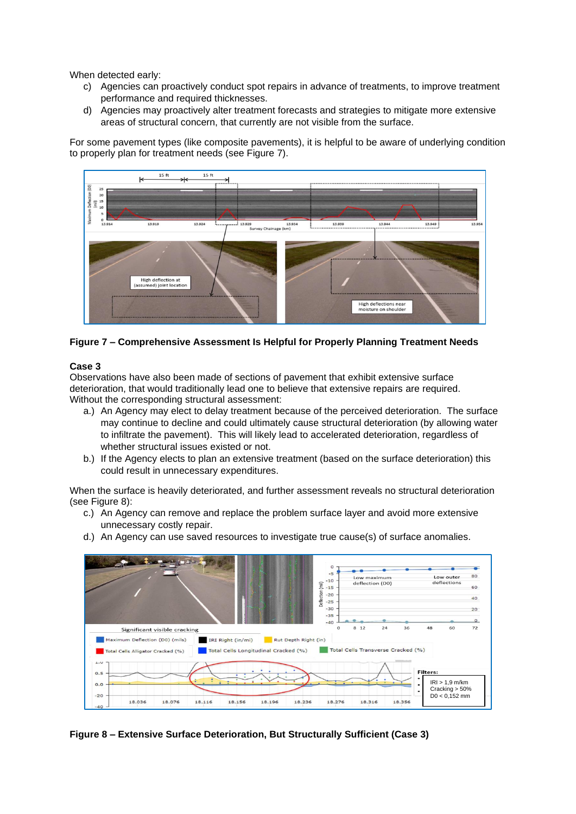When detected early:

- c) Agencies can proactively conduct spot repairs in advance of treatments, to improve treatment performance and required thicknesses.
- d) Agencies may proactively alter treatment forecasts and strategies to mitigate more extensive areas of structural concern, that currently are not visible from the surface.

For some pavement types (like composite pavements), it is helpful to be aware of underlying condition to properly plan for treatment needs (see Figure 7).



### **Figure 7 – Comprehensive Assessment Is Helpful for Properly Planning Treatment Needs**

### **Case 3**

Observations have also been made of sections of pavement that exhibit extensive surface deterioration, that would traditionally lead one to believe that extensive repairs are required. Without the corresponding structural assessment:

- a.) An Agency may elect to delay treatment because of the perceived deterioration. The surface may continue to decline and could ultimately cause structural deterioration (by allowing water to infiltrate the pavement). This will likely lead to accelerated deterioration, regardless of whether structural issues existed or not.
- b.) If the Agency elects to plan an extensive treatment (based on the surface deterioration) this could result in unnecessary expenditures.

When the surface is heavily deteriorated, and further assessment reveals no structural deterioration (see Figure 8):

- c.) An Agency can remove and replace the problem surface layer and avoid more extensive unnecessary costly repair.
- d.) An Agency can use saved resources to investigate true cause(s) of surface anomalies.



**Figure 8 – Extensive Surface Deterioration, But Structurally Sufficient (Case 3)**